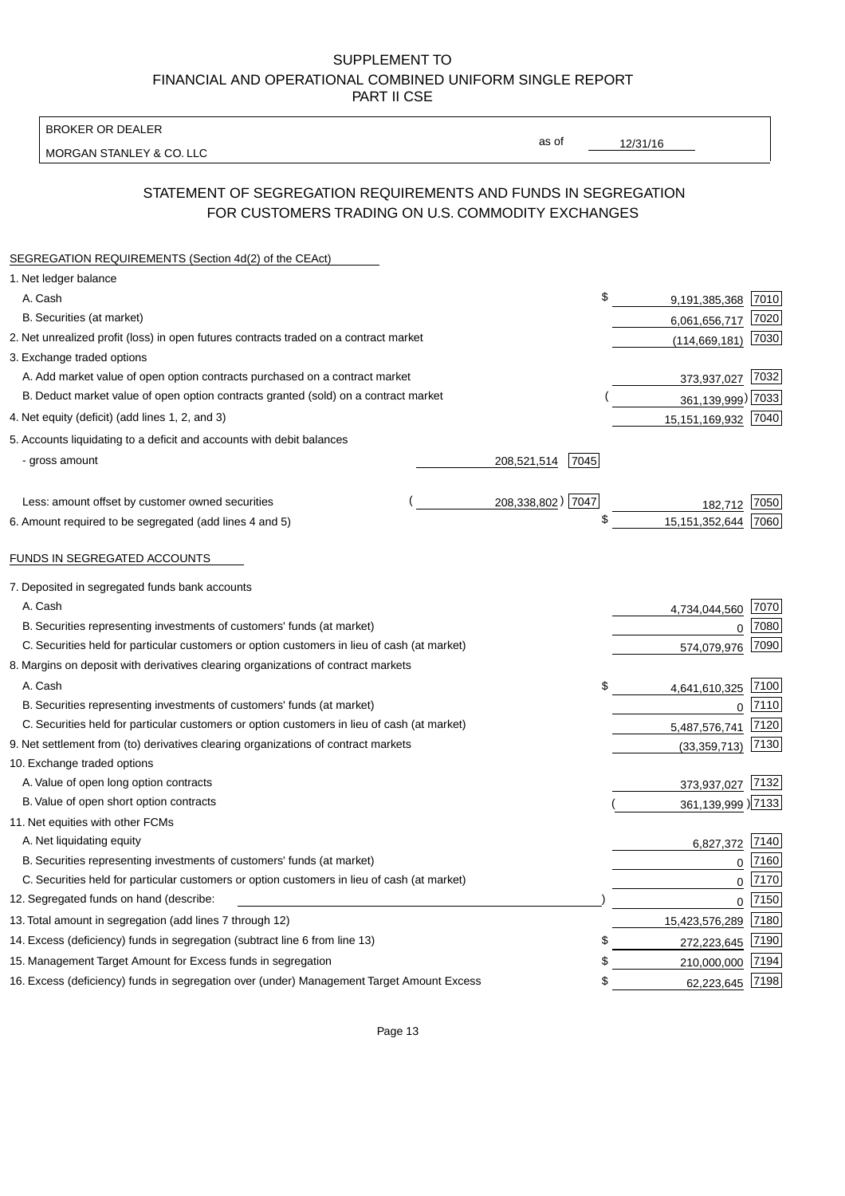BROKER OR DEALER

MORGAN STANLEY & CO. LLC

12/31/16

as of

# STATEMENT OF SEGREGATION REQUIREMENTS AND FUNDS IN SEGREGATION FOR CUSTOMERS TRADING ON U.S. COMMODITY EXCHANGES

| SEGREGATION REQUIREMENTS (Section 4d(2) of the CEAct)                                       |                     |                     |      |
|---------------------------------------------------------------------------------------------|---------------------|---------------------|------|
| 1. Net ledger balance                                                                       |                     |                     |      |
| A. Cash                                                                                     | \$                  | 9,191,385,368       | 7010 |
| B. Securities (at market)                                                                   |                     | 6,061,656,717       | 7020 |
| 2. Net unrealized profit (loss) in open futures contracts traded on a contract market       |                     | (114, 669, 181)     | 7030 |
| 3. Exchange traded options                                                                  |                     |                     |      |
| A. Add market value of open option contracts purchased on a contract market                 |                     | 373,937,027         | 7032 |
| B. Deduct market value of open option contracts granted (sold) on a contract market         |                     | 361,139,999) 7033   |      |
| 4. Net equity (deficit) (add lines 1, 2, and 3)                                             |                     | 15,151,169,932 7040 |      |
| 5. Accounts liquidating to a deficit and accounts with debit balances                       |                     |                     |      |
| - gross amount                                                                              | 7045<br>208,521,514 |                     |      |
|                                                                                             |                     |                     |      |
| Less: amount offset by customer owned securities                                            | 208,338,802) 7047   | 182,712             | 7050 |
| 6. Amount required to be segregated (add lines 4 and 5)                                     | \$                  | 15, 151, 352, 644   | 7060 |
| FUNDS IN SEGREGATED ACCOUNTS                                                                |                     |                     |      |
| 7. Deposited in segregated funds bank accounts                                              |                     |                     |      |
| A. Cash                                                                                     |                     | 4,734,044,560       | 7070 |
| B. Securities representing investments of customers' funds (at market)                      |                     | $\Omega$            | 7080 |
| C. Securities held for particular customers or option customers in lieu of cash (at market) |                     | 574,079,976         | 7090 |
| 8. Margins on deposit with derivatives clearing organizations of contract markets           |                     |                     |      |
| A. Cash                                                                                     | \$                  | 4,641,610,325       | 7100 |
| B. Securities representing investments of customers' funds (at market)                      |                     | $\mathbf{0}$        | 7110 |
| C. Securities held for particular customers or option customers in lieu of cash (at market) |                     | 5,487,576,741       | 7120 |
| 9. Net settlement from (to) derivatives clearing organizations of contract markets          |                     | (33, 359, 713)      | 7130 |
| 10. Exchange traded options                                                                 |                     |                     |      |
| A. Value of open long option contracts                                                      |                     | 373,937,027         | 7132 |
| B. Value of open short option contracts                                                     |                     | 361,139,999) 7133   |      |
| 11. Net equities with other FCMs                                                            |                     |                     |      |
| A. Net liquidating equity                                                                   |                     | 6,827,372           | 7140 |
| B. Securities representing investments of customers' funds (at market)                      |                     | $\Omega$            | 7160 |
| C. Securities held for particular customers or option customers in lieu of cash (at market) |                     | $\mathbf 0$         | 7170 |
| 12. Segregated funds on hand (describe:                                                     |                     | $\mathbf 0$         | 7150 |
| 13. Total amount in segregation (add lines 7 through 12)                                    |                     | 15,423,576,289      | 7180 |
| 14. Excess (deficiency) funds in segregation (subtract line 6 from line 13)                 | S                   | 272,223,645         | 7190 |
| 15. Management Target Amount for Excess funds in segregation                                | \$                  | 210,000,000         | 7194 |
| 16. Excess (deficiency) funds in segregation over (under) Management Target Amount Excess   | \$                  | 62,223,645          | 7198 |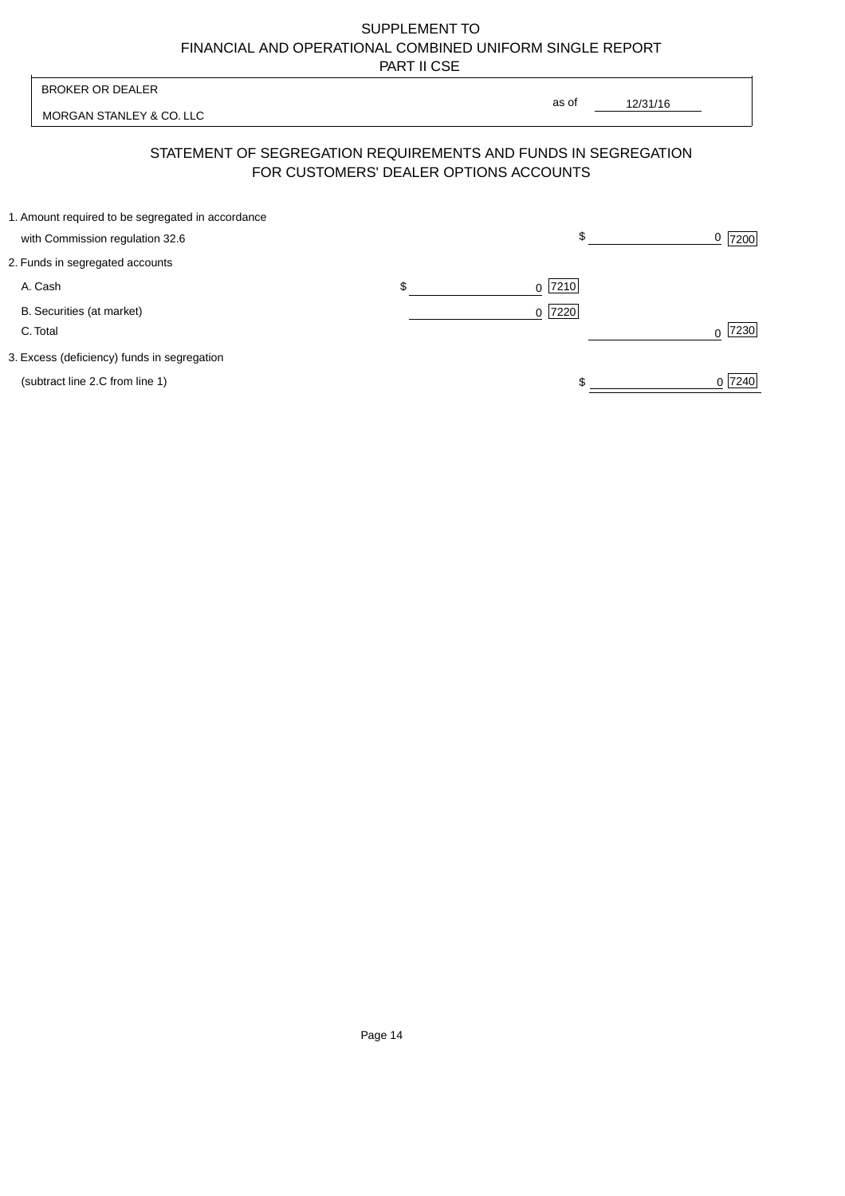| <b>BROKER OR DEALER</b>                                                                                  | as of                  |          |                |
|----------------------------------------------------------------------------------------------------------|------------------------|----------|----------------|
| MORGAN STANLEY & CO. LLC                                                                                 |                        | 12/31/16 |                |
| STATEMENT OF SEGREGATION REQUIREMENTS AND FUNDS IN SEGREGATION<br>FOR CUSTOMERS' DEALER OPTIONS ACCOUNTS |                        |          |                |
| 1. Amount required to be segregated in accordance                                                        | $\mathbb{S}$           |          |                |
| with Commission regulation 32.6<br>2. Funds in segregated accounts                                       |                        |          | <u>0</u>  7200 |
| A. Cash                                                                                                  | \$<br>7210<br>$\Omega$ |          |                |
| B. Securities (at market)<br>C. Total                                                                    | 7220<br>$\Omega$       |          | 7230<br>U      |
| 3. Excess (deficiency) funds in segregation                                                              |                        |          |                |
| (subtract line 2.C from line 1)                                                                          |                        |          | 0 7240         |
|                                                                                                          |                        |          |                |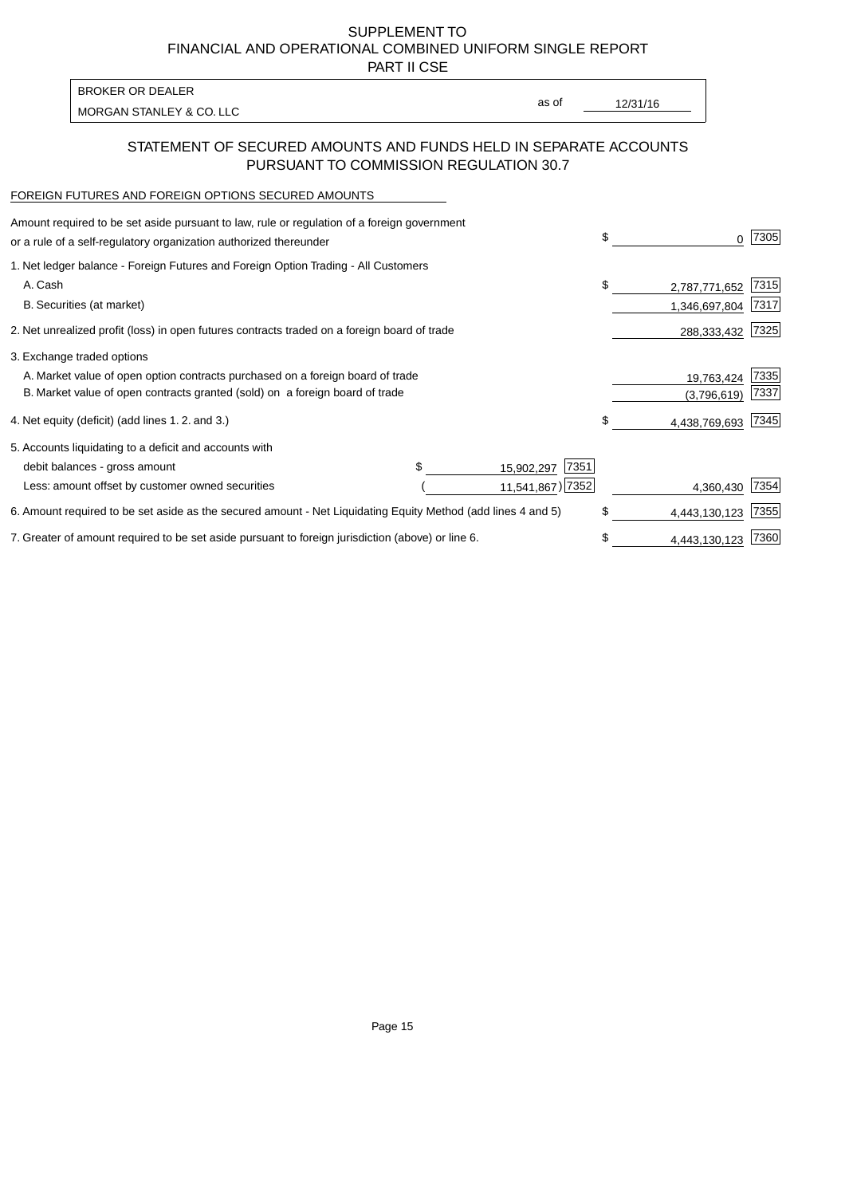PART II CSE

MORGAN STANLEY & CO. LLC and the contract of the contract of the contract of the contract of the contract of the contract of the contract of the contract of the contract of the contract of the contract of the contract of t BROKER OR DEALER

as of

### STATEMENT OF SECURED AMOUNTS AND FUNDS HELD IN SEPARATE ACCOUNTS PURSUANT TO COMMISSION REGULATION 30.7

#### FOREIGN FUTURES AND FOREIGN OPTIONS SECURED AMOUNTS

| Amount required to be set aside pursuant to law, rule or regulation of a foreign government<br>or a rule of a self-regulatory organization authorized thereunder |  |                    | \$<br>O.            | 7305 |
|------------------------------------------------------------------------------------------------------------------------------------------------------------------|--|--------------------|---------------------|------|
| 1. Net ledger balance - Foreign Futures and Foreign Option Trading - All Customers                                                                               |  |                    |                     |      |
| A. Cash                                                                                                                                                          |  |                    | \$<br>2,787,771,652 | 7315 |
| B. Securities (at market)                                                                                                                                        |  |                    | 1,346,697,804       | 7317 |
| 2. Net unrealized profit (loss) in open futures contracts traded on a foreign board of trade                                                                     |  |                    | 288,333,432         | 7325 |
| 3. Exchange traded options                                                                                                                                       |  |                    |                     |      |
| A. Market value of open option contracts purchased on a foreign board of trade                                                                                   |  |                    | 19,763,424          | 7335 |
| B. Market value of open contracts granted (sold) on a foreign board of trade                                                                                     |  |                    | (3,796,619)         | 7337 |
| 4. Net equity (deficit) (add lines 1.2. and 3.)                                                                                                                  |  |                    | \$<br>4,438,769,693 | 7345 |
| 5. Accounts liquidating to a deficit and accounts with                                                                                                           |  |                    |                     |      |
| debit balances - gross amount                                                                                                                                    |  | 7351<br>15,902,297 |                     |      |
| Less: amount offset by customer owned securities                                                                                                                 |  | 11,541,867) 7352   | 4,360,430           | 7354 |
| 6. Amount required to be set aside as the secured amount - Net Liquidating Equity Method (add lines 4 and 5)                                                     |  |                    | \$<br>4,443,130,123 | 7355 |
| 7. Greater of amount required to be set aside pursuant to foreign jurisdiction (above) or line 6.                                                                |  |                    | \$<br>4,443,130,123 | 7360 |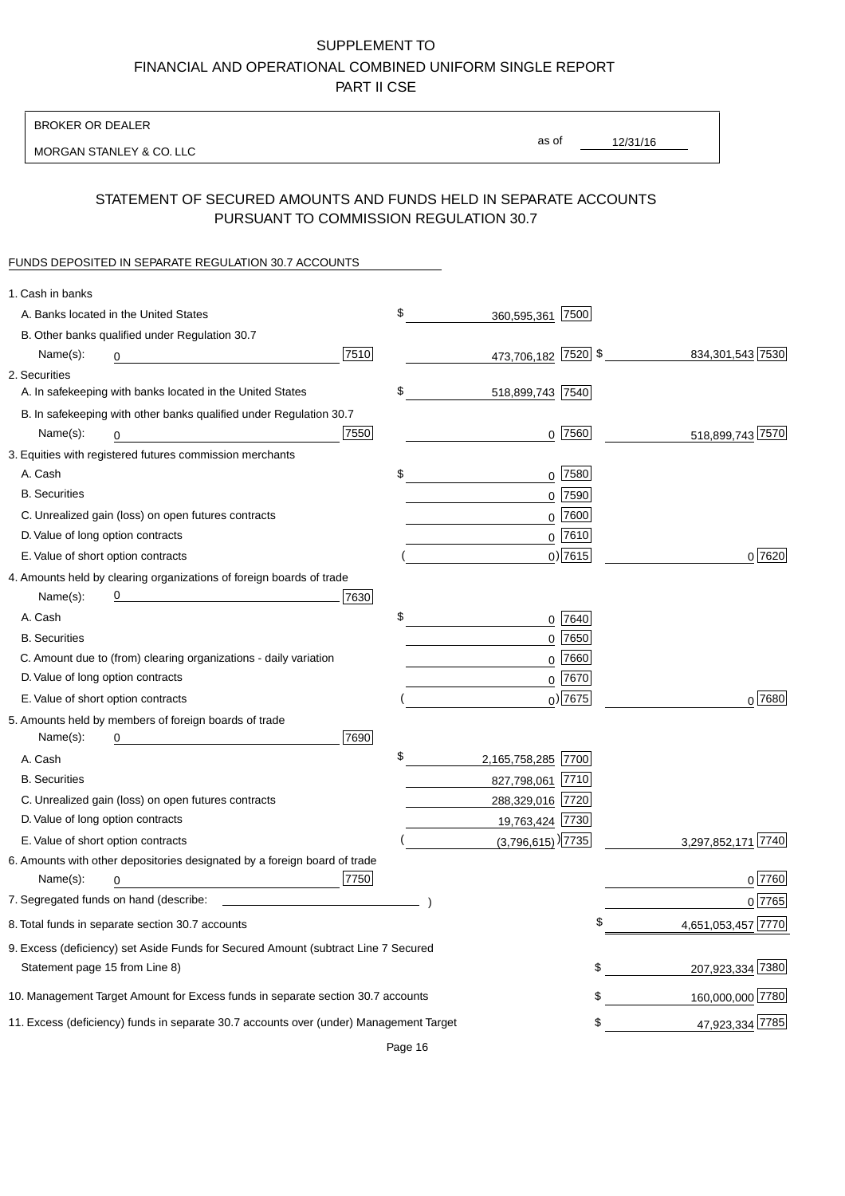BROKER OR DEALER

MORGAN STANLEY & CO. LLC

12/31/16 as of

# STATEMENT OF SECURED AMOUNTS AND FUNDS HELD IN SEPARATE ACCOUNTS PURSUANT TO COMMISSION REGULATION 30.7

#### FUNDS DEPOSITED IN SEPARATE REGULATION 30.7 ACCOUNTS

| \$<br>360,595,361 7500<br>A. Banks located in the United States<br>B. Other banks qualified under Regulation 30.7<br>7510<br>473,706,182 7520 \$<br>834, 301, 543 7530<br>Name(s):<br>0<br>2. Securities<br>\$<br>A. In safekeeping with banks located in the United States<br>518,899,743 7540<br>B. In safekeeping with other banks qualified under Regulation 30.7<br>7550<br>$0$  7560<br>518,899,743 7570<br>Name(s):<br>0<br>3. Equities with registered futures commission merchants<br>A. Cash<br>$0$ 7580<br>\$<br><b>B.</b> Securities<br>$0$ 7590<br>0 7600<br>C. Unrealized gain (loss) on open futures contracts<br>$0$ 7610<br>D. Value of long option contracts<br>$0)$ 7615<br>0 7620<br>E. Value of short option contracts<br>4. Amounts held by clearing organizations of foreign boards of trade<br><u> 1980 - Johann Barbara, martxa alemaniar a</u><br>Name(s):<br>7630<br>\$<br>A. Cash<br>$0$ 7640<br>$0$ 7650<br><b>B.</b> Securities<br>C. Amount due to (from) clearing organizations - daily variation<br>7660<br>0<br>D. Value of long option contracts<br>0 7670<br>$_0$ ) 7675<br>$0^{7680}$<br>E. Value of short option contracts<br>5. Amounts held by members of foreign boards of trade<br>7690<br>Name(s):<br>0<br>\$<br>2,165,758,285 7700<br>A. Cash<br><b>B.</b> Securities<br>827,798,061 7710<br>C. Unrealized gain (loss) on open futures contracts<br>288,329,016 7720<br>D. Value of long option contracts<br>19,763,424 7730<br>E. Value of short option contracts<br>$(3,796,615)$ <sup>)</sup> [7735]<br> 7740<br>3,297,852,171<br>6. Amounts with other depositories designated by a foreign board of trade<br>7750<br>0 7760<br>Name(s):<br>0<br>0 7765<br>4,651,053,457 7770<br>\$<br>8. Total funds in separate section 30.7 accounts<br>9. Excess (deficiency) set Aside Funds for Secured Amount (subtract Line 7 Secured<br>207,923,334 7380<br>\$<br>Statement page 15 from Line 8)<br>\$<br>160,000,000 7780<br>10. Management Target Amount for Excess funds in separate section 30.7 accounts<br>47,923,334 7785<br>11. Excess (deficiency) funds in separate 30.7 accounts over (under) Management Target<br>\$ | 1. Cash in banks |  |  |  |
|---------------------------------------------------------------------------------------------------------------------------------------------------------------------------------------------------------------------------------------------------------------------------------------------------------------------------------------------------------------------------------------------------------------------------------------------------------------------------------------------------------------------------------------------------------------------------------------------------------------------------------------------------------------------------------------------------------------------------------------------------------------------------------------------------------------------------------------------------------------------------------------------------------------------------------------------------------------------------------------------------------------------------------------------------------------------------------------------------------------------------------------------------------------------------------------------------------------------------------------------------------------------------------------------------------------------------------------------------------------------------------------------------------------------------------------------------------------------------------------------------------------------------------------------------------------------------------------------------------------------------------------------------------------------------------------------------------------------------------------------------------------------------------------------------------------------------------------------------------------------------------------------------------------------------------------------------------------------------------------------------------------------------------------------------------------------------------------------------------------------------------------------------------------------------|------------------|--|--|--|
|                                                                                                                                                                                                                                                                                                                                                                                                                                                                                                                                                                                                                                                                                                                                                                                                                                                                                                                                                                                                                                                                                                                                                                                                                                                                                                                                                                                                                                                                                                                                                                                                                                                                                                                                                                                                                                                                                                                                                                                                                                                                                                                                                                           |                  |  |  |  |
|                                                                                                                                                                                                                                                                                                                                                                                                                                                                                                                                                                                                                                                                                                                                                                                                                                                                                                                                                                                                                                                                                                                                                                                                                                                                                                                                                                                                                                                                                                                                                                                                                                                                                                                                                                                                                                                                                                                                                                                                                                                                                                                                                                           |                  |  |  |  |
|                                                                                                                                                                                                                                                                                                                                                                                                                                                                                                                                                                                                                                                                                                                                                                                                                                                                                                                                                                                                                                                                                                                                                                                                                                                                                                                                                                                                                                                                                                                                                                                                                                                                                                                                                                                                                                                                                                                                                                                                                                                                                                                                                                           |                  |  |  |  |
|                                                                                                                                                                                                                                                                                                                                                                                                                                                                                                                                                                                                                                                                                                                                                                                                                                                                                                                                                                                                                                                                                                                                                                                                                                                                                                                                                                                                                                                                                                                                                                                                                                                                                                                                                                                                                                                                                                                                                                                                                                                                                                                                                                           |                  |  |  |  |
|                                                                                                                                                                                                                                                                                                                                                                                                                                                                                                                                                                                                                                                                                                                                                                                                                                                                                                                                                                                                                                                                                                                                                                                                                                                                                                                                                                                                                                                                                                                                                                                                                                                                                                                                                                                                                                                                                                                                                                                                                                                                                                                                                                           |                  |  |  |  |
|                                                                                                                                                                                                                                                                                                                                                                                                                                                                                                                                                                                                                                                                                                                                                                                                                                                                                                                                                                                                                                                                                                                                                                                                                                                                                                                                                                                                                                                                                                                                                                                                                                                                                                                                                                                                                                                                                                                                                                                                                                                                                                                                                                           |                  |  |  |  |
|                                                                                                                                                                                                                                                                                                                                                                                                                                                                                                                                                                                                                                                                                                                                                                                                                                                                                                                                                                                                                                                                                                                                                                                                                                                                                                                                                                                                                                                                                                                                                                                                                                                                                                                                                                                                                                                                                                                                                                                                                                                                                                                                                                           |                  |  |  |  |
|                                                                                                                                                                                                                                                                                                                                                                                                                                                                                                                                                                                                                                                                                                                                                                                                                                                                                                                                                                                                                                                                                                                                                                                                                                                                                                                                                                                                                                                                                                                                                                                                                                                                                                                                                                                                                                                                                                                                                                                                                                                                                                                                                                           |                  |  |  |  |
|                                                                                                                                                                                                                                                                                                                                                                                                                                                                                                                                                                                                                                                                                                                                                                                                                                                                                                                                                                                                                                                                                                                                                                                                                                                                                                                                                                                                                                                                                                                                                                                                                                                                                                                                                                                                                                                                                                                                                                                                                                                                                                                                                                           |                  |  |  |  |
|                                                                                                                                                                                                                                                                                                                                                                                                                                                                                                                                                                                                                                                                                                                                                                                                                                                                                                                                                                                                                                                                                                                                                                                                                                                                                                                                                                                                                                                                                                                                                                                                                                                                                                                                                                                                                                                                                                                                                                                                                                                                                                                                                                           |                  |  |  |  |
|                                                                                                                                                                                                                                                                                                                                                                                                                                                                                                                                                                                                                                                                                                                                                                                                                                                                                                                                                                                                                                                                                                                                                                                                                                                                                                                                                                                                                                                                                                                                                                                                                                                                                                                                                                                                                                                                                                                                                                                                                                                                                                                                                                           |                  |  |  |  |
|                                                                                                                                                                                                                                                                                                                                                                                                                                                                                                                                                                                                                                                                                                                                                                                                                                                                                                                                                                                                                                                                                                                                                                                                                                                                                                                                                                                                                                                                                                                                                                                                                                                                                                                                                                                                                                                                                                                                                                                                                                                                                                                                                                           |                  |  |  |  |
|                                                                                                                                                                                                                                                                                                                                                                                                                                                                                                                                                                                                                                                                                                                                                                                                                                                                                                                                                                                                                                                                                                                                                                                                                                                                                                                                                                                                                                                                                                                                                                                                                                                                                                                                                                                                                                                                                                                                                                                                                                                                                                                                                                           |                  |  |  |  |
|                                                                                                                                                                                                                                                                                                                                                                                                                                                                                                                                                                                                                                                                                                                                                                                                                                                                                                                                                                                                                                                                                                                                                                                                                                                                                                                                                                                                                                                                                                                                                                                                                                                                                                                                                                                                                                                                                                                                                                                                                                                                                                                                                                           |                  |  |  |  |
|                                                                                                                                                                                                                                                                                                                                                                                                                                                                                                                                                                                                                                                                                                                                                                                                                                                                                                                                                                                                                                                                                                                                                                                                                                                                                                                                                                                                                                                                                                                                                                                                                                                                                                                                                                                                                                                                                                                                                                                                                                                                                                                                                                           |                  |  |  |  |
|                                                                                                                                                                                                                                                                                                                                                                                                                                                                                                                                                                                                                                                                                                                                                                                                                                                                                                                                                                                                                                                                                                                                                                                                                                                                                                                                                                                                                                                                                                                                                                                                                                                                                                                                                                                                                                                                                                                                                                                                                                                                                                                                                                           |                  |  |  |  |
|                                                                                                                                                                                                                                                                                                                                                                                                                                                                                                                                                                                                                                                                                                                                                                                                                                                                                                                                                                                                                                                                                                                                                                                                                                                                                                                                                                                                                                                                                                                                                                                                                                                                                                                                                                                                                                                                                                                                                                                                                                                                                                                                                                           |                  |  |  |  |
|                                                                                                                                                                                                                                                                                                                                                                                                                                                                                                                                                                                                                                                                                                                                                                                                                                                                                                                                                                                                                                                                                                                                                                                                                                                                                                                                                                                                                                                                                                                                                                                                                                                                                                                                                                                                                                                                                                                                                                                                                                                                                                                                                                           |                  |  |  |  |
|                                                                                                                                                                                                                                                                                                                                                                                                                                                                                                                                                                                                                                                                                                                                                                                                                                                                                                                                                                                                                                                                                                                                                                                                                                                                                                                                                                                                                                                                                                                                                                                                                                                                                                                                                                                                                                                                                                                                                                                                                                                                                                                                                                           |                  |  |  |  |
|                                                                                                                                                                                                                                                                                                                                                                                                                                                                                                                                                                                                                                                                                                                                                                                                                                                                                                                                                                                                                                                                                                                                                                                                                                                                                                                                                                                                                                                                                                                                                                                                                                                                                                                                                                                                                                                                                                                                                                                                                                                                                                                                                                           |                  |  |  |  |
|                                                                                                                                                                                                                                                                                                                                                                                                                                                                                                                                                                                                                                                                                                                                                                                                                                                                                                                                                                                                                                                                                                                                                                                                                                                                                                                                                                                                                                                                                                                                                                                                                                                                                                                                                                                                                                                                                                                                                                                                                                                                                                                                                                           |                  |  |  |  |
|                                                                                                                                                                                                                                                                                                                                                                                                                                                                                                                                                                                                                                                                                                                                                                                                                                                                                                                                                                                                                                                                                                                                                                                                                                                                                                                                                                                                                                                                                                                                                                                                                                                                                                                                                                                                                                                                                                                                                                                                                                                                                                                                                                           |                  |  |  |  |
|                                                                                                                                                                                                                                                                                                                                                                                                                                                                                                                                                                                                                                                                                                                                                                                                                                                                                                                                                                                                                                                                                                                                                                                                                                                                                                                                                                                                                                                                                                                                                                                                                                                                                                                                                                                                                                                                                                                                                                                                                                                                                                                                                                           |                  |  |  |  |
|                                                                                                                                                                                                                                                                                                                                                                                                                                                                                                                                                                                                                                                                                                                                                                                                                                                                                                                                                                                                                                                                                                                                                                                                                                                                                                                                                                                                                                                                                                                                                                                                                                                                                                                                                                                                                                                                                                                                                                                                                                                                                                                                                                           |                  |  |  |  |
|                                                                                                                                                                                                                                                                                                                                                                                                                                                                                                                                                                                                                                                                                                                                                                                                                                                                                                                                                                                                                                                                                                                                                                                                                                                                                                                                                                                                                                                                                                                                                                                                                                                                                                                                                                                                                                                                                                                                                                                                                                                                                                                                                                           |                  |  |  |  |
|                                                                                                                                                                                                                                                                                                                                                                                                                                                                                                                                                                                                                                                                                                                                                                                                                                                                                                                                                                                                                                                                                                                                                                                                                                                                                                                                                                                                                                                                                                                                                                                                                                                                                                                                                                                                                                                                                                                                                                                                                                                                                                                                                                           |                  |  |  |  |
|                                                                                                                                                                                                                                                                                                                                                                                                                                                                                                                                                                                                                                                                                                                                                                                                                                                                                                                                                                                                                                                                                                                                                                                                                                                                                                                                                                                                                                                                                                                                                                                                                                                                                                                                                                                                                                                                                                                                                                                                                                                                                                                                                                           |                  |  |  |  |
|                                                                                                                                                                                                                                                                                                                                                                                                                                                                                                                                                                                                                                                                                                                                                                                                                                                                                                                                                                                                                                                                                                                                                                                                                                                                                                                                                                                                                                                                                                                                                                                                                                                                                                                                                                                                                                                                                                                                                                                                                                                                                                                                                                           |                  |  |  |  |
|                                                                                                                                                                                                                                                                                                                                                                                                                                                                                                                                                                                                                                                                                                                                                                                                                                                                                                                                                                                                                                                                                                                                                                                                                                                                                                                                                                                                                                                                                                                                                                                                                                                                                                                                                                                                                                                                                                                                                                                                                                                                                                                                                                           |                  |  |  |  |
|                                                                                                                                                                                                                                                                                                                                                                                                                                                                                                                                                                                                                                                                                                                                                                                                                                                                                                                                                                                                                                                                                                                                                                                                                                                                                                                                                                                                                                                                                                                                                                                                                                                                                                                                                                                                                                                                                                                                                                                                                                                                                                                                                                           |                  |  |  |  |
|                                                                                                                                                                                                                                                                                                                                                                                                                                                                                                                                                                                                                                                                                                                                                                                                                                                                                                                                                                                                                                                                                                                                                                                                                                                                                                                                                                                                                                                                                                                                                                                                                                                                                                                                                                                                                                                                                                                                                                                                                                                                                                                                                                           |                  |  |  |  |
|                                                                                                                                                                                                                                                                                                                                                                                                                                                                                                                                                                                                                                                                                                                                                                                                                                                                                                                                                                                                                                                                                                                                                                                                                                                                                                                                                                                                                                                                                                                                                                                                                                                                                                                                                                                                                                                                                                                                                                                                                                                                                                                                                                           |                  |  |  |  |
|                                                                                                                                                                                                                                                                                                                                                                                                                                                                                                                                                                                                                                                                                                                                                                                                                                                                                                                                                                                                                                                                                                                                                                                                                                                                                                                                                                                                                                                                                                                                                                                                                                                                                                                                                                                                                                                                                                                                                                                                                                                                                                                                                                           |                  |  |  |  |
|                                                                                                                                                                                                                                                                                                                                                                                                                                                                                                                                                                                                                                                                                                                                                                                                                                                                                                                                                                                                                                                                                                                                                                                                                                                                                                                                                                                                                                                                                                                                                                                                                                                                                                                                                                                                                                                                                                                                                                                                                                                                                                                                                                           |                  |  |  |  |
|                                                                                                                                                                                                                                                                                                                                                                                                                                                                                                                                                                                                                                                                                                                                                                                                                                                                                                                                                                                                                                                                                                                                                                                                                                                                                                                                                                                                                                                                                                                                                                                                                                                                                                                                                                                                                                                                                                                                                                                                                                                                                                                                                                           |                  |  |  |  |